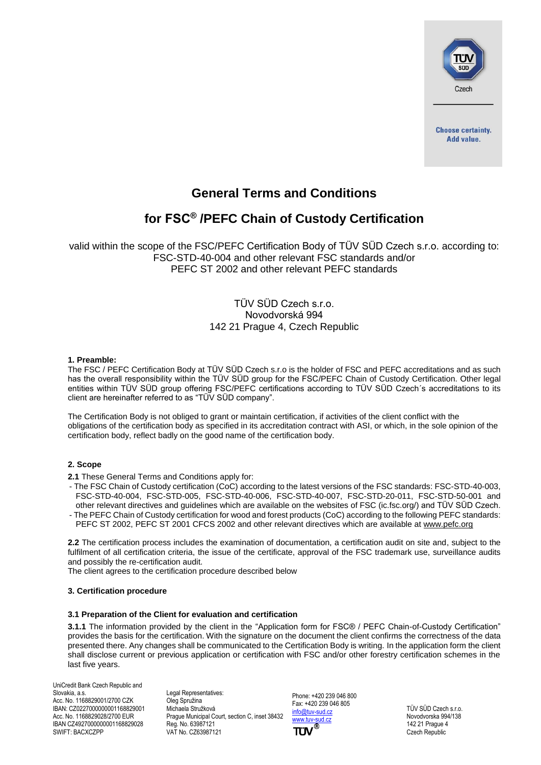

# **General Terms and Conditions**

# **for FSC® /PEFC Chain of Custody Certification**

valid within the scope of the FSC/PEFC Certification Body of TÜV SÜD Czech s.r.o. according to: FSC-STD-40-004 and other relevant FSC standards and/or PEFC ST 2002 and other relevant PEFC standards

# TÜV SÜD Czech s.r.o. Novodvorská 994 142 21 Prague 4, Czech Republic

#### **1. Preamble:**

The FSC / PEFC Certification Body at TÜV SÜD Czech s.r.o is the holder of FSC and PEFC accreditations and as such has the overall responsibility within the TÜV SÜD group for the FSC/PEFC Chain of Custody Certification. Other legal entities within TÜV SÜD group offering FSC/PEFC certifications according to TÜV SÜD Czech´s accreditations to its client are hereinafter referred to as "TÜV SÜD company".

The Certification Body is not obliged to grant or maintain certification, if activities of the client conflict with the obligations of the certification body as specified in its accreditation contract with ASI, or which, in the sole opinion of the certification body, reflect badly on the good name of the certification body.

# **2. Scope**

**2.1** These General Terms and Conditions apply for:

- The FSC Chain of Custody certification (CoC) according to the latest versions of the FSC standards: FSC-STD-40-003, FSC-STD-40-004, FSC-STD-005, FSC-STD-40-006, FSC-STD-40-007, FSC-STD-20-011, FSC-STD-50-001 and other relevant directives and guidelines which are available on the websites of FSC (ic.fsc.org/) and TÜV SÜD Czech.
- The PEFC Chain of Custody certification for wood and forest products (CoC) according to the following PEFC standards: PEFC ST 2002, PEFC ST 2001 CFCS 2002 and other relevant directives which are available at [www.pefc.org](http://www.pefc.org/)

**2.2** The certification process includes the examination of documentation, a certification audit on site and, subject to the fulfilment of all certification criteria, the issue of the certificate, approval of the FSC trademark use, surveillance audits and possibly the re-certification audit.

The client agrees to the certification procedure described below

# **3. Certification procedure**

#### **3.1 Preparation of the Client for evaluation and certification**

**3.1.1** The information provided by the client in the "Application form for FSC® / PEFC Chain-of-Custody Certification" provides the basis for the certification. With the signature on the document the client confirms the correctness of the data presented there. Any changes shall be communicated to the Certification Body is writing. In the application form the client shall disclose current or previous application or certification with FSC and/or other forestry certification schemes in the last five years.

UniCredit Bank Czech Republic and Slovakia, a.s. Acc. No. 1168829001/2700 CZK IBAN: CZ0227000000001168829001 Acc. No. 1168829028/2700 EUR IBAN CZ4927000000001168829028 SWIFT: BACXCZPP

Legal Representatives: Oleg Spružina Michaela Stružková Prague Municipal Court, section C, inset 38432 Reg. No. 63987121 VAT No. CZ63987121

Phone: +420 239 046 800 Fax: +420 239 046 805 [info@tuv-sud.cz](mailto:info@tuv-sud.cz) [www.tuv-sud.cz](http://www.tuv-sud.cz/)

TÜV SÜD Czech s.r.o. Novodvorska 994/138 142 21 Prague 4 Czech Republic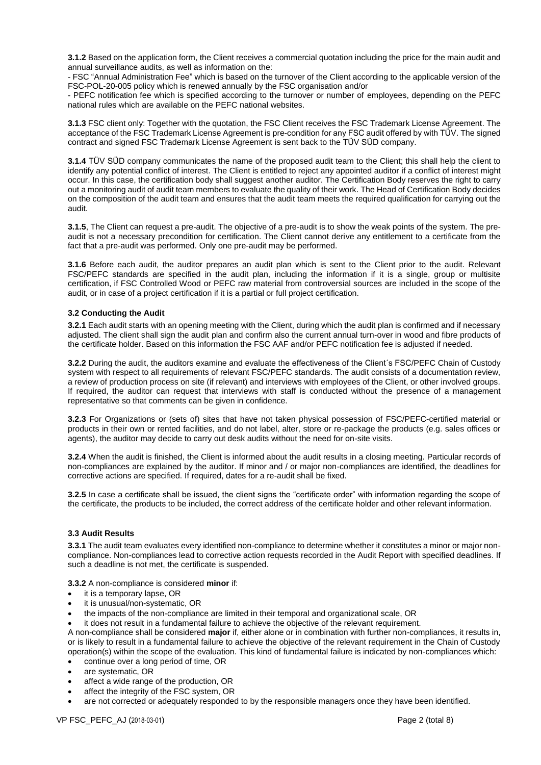**3.1.2** Based on the application form, the Client receives a commercial quotation including the price for the main audit and annual surveillance audits, as well as information on the:

- FSC "Annual Administration Fee" which is based on the turnover of the Client according to the applicable version of the FSC-POL-20-005 policy which is renewed annually by the FSC organisation and/or

- PEFC notification fee which is specified according to the turnover or number of employees, depending on the PEFC national rules which are available on the PEFC national websites.

**3.1.3** FSC client only: Together with the quotation, the FSC Client receives the FSC Trademark License Agreement. The acceptance of the FSC Trademark License Agreement is pre-condition for any FSC audit offered by with TÜV. The signed contract and signed FSC Trademark License Agreement is sent back to the TÜV SÜD company.

**3.1.4** TÜV SÜD company communicates the name of the proposed audit team to the Client; this shall help the client to identify any potential conflict of interest. The Client is entitled to reject any appointed auditor if a conflict of interest might occur. In this case, the certification body shall suggest another auditor. The Certification Body reserves the right to carry out a monitoring audit of audit team members to evaluate the quality of their work. The Head of Certification Body decides on the composition of the audit team and ensures that the audit team meets the required qualification for carrying out the audit.

**3.1.5**, The Client can request a pre-audit. The objective of a pre-audit is to show the weak points of the system. The preaudit is not a necessary precondition for certification. The Client cannot derive any entitlement to a certificate from the fact that a pre-audit was performed. Only one pre-audit may be performed.

**3.1.6** Before each audit, the auditor prepares an audit plan which is sent to the Client prior to the audit. Relevant FSC/PEFC standards are specified in the audit plan, including the information if it is a single, group or multisite certification, if FSC Controlled Wood or PEFC raw material from controversial sources are included in the scope of the audit, or in case of a project certification if it is a partial or full project certification.

#### **3.2 Conducting the Audit**

**3.2.1** Each audit starts with an opening meeting with the Client, during which the audit plan is confirmed and if necessary adjusted. The client shall sign the audit plan and confirm also the current annual turn-over in wood and fibre products of the certificate holder. Based on this information the FSC AAF and/or PEFC notification fee is adjusted if needed.

**3.2.2** During the audit, the auditors examine and evaluate the effectiveness of the Client´s FSC/PEFC Chain of Custody system with respect to all requirements of relevant FSC/PEFC standards. The audit consists of a documentation review, a review of production process on site (if relevant) and interviews with employees of the Client, or other involved groups. If required, the auditor can request that interviews with staff is conducted without the presence of a management representative so that comments can be given in confidence.

**3.2.3** For Organizations or (sets of) sites that have not taken physical possession of FSC/PEFC-certified material or products in their own or rented facilities, and do not label, alter, store or re-package the products (e.g. sales offices or agents), the auditor may decide to carry out desk audits without the need for on-site visits.

**3.2.4** When the audit is finished, the Client is informed about the audit results in a closing meeting. Particular records of non-compliances are explained by the auditor. If minor and / or major non-compliances are identified, the deadlines for corrective actions are specified. If required, dates for a re-audit shall be fixed.

**3.2.5** In case a certificate shall be issued, the client signs the "certificate order" with information regarding the scope of the certificate, the products to be included, the correct address of the certificate holder and other relevant information.

# **3.3 Audit Results**

**3.3.1** The audit team evaluates every identified non-compliance to determine whether it constitutes a minor or major noncompliance. Non-compliances lead to corrective action requests recorded in the Audit Report with specified deadlines. If such a deadline is not met, the certificate is suspended.

**3.3.2** A non-compliance is considered **minor** if:

- it is a temporary lapse, OR
- it is unusual/non-systematic, OR
- the impacts of the non-compliance are limited in their temporal and organizational scale, OR
- it does not result in a fundamental failure to achieve the objective of the relevant requirement.

A non-compliance shall be considered **major** if, either alone or in combination with further non-compliances, it results in, or is likely to result in a fundamental failure to achieve the objective of the relevant requirement in the Chain of Custody operation(s) within the scope of the evaluation. This kind of fundamental failure is indicated by non-compliances which:

- continue over a long period of time, OR
- are systematic, OR
- affect a wide range of the production, OR
- affect the integrity of the FSC system, OR
- are not corrected or adequately responded to by the responsible managers once they have been identified.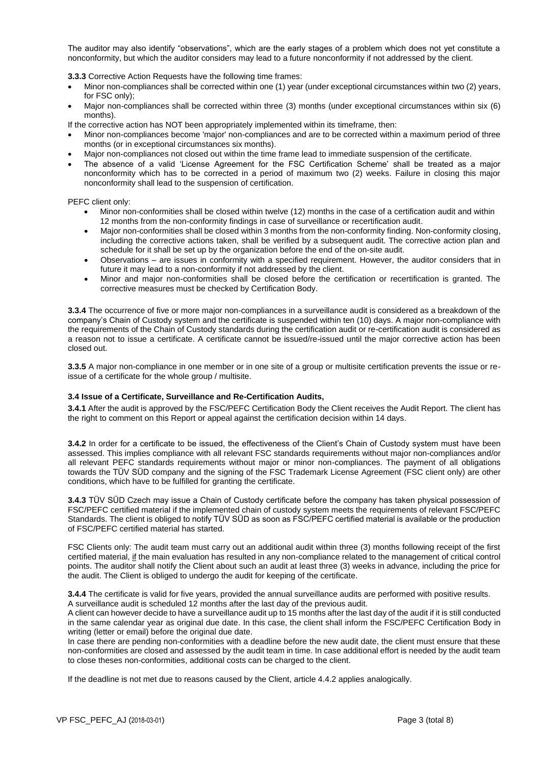The auditor may also identify "observations", which are the early stages of a problem which does not yet constitute a nonconformity, but which the auditor considers may lead to a future nonconformity if not addressed by the client.

**3.3.3** Corrective Action Requests have the following time frames:

- Minor non-compliances shall be corrected within one (1) year (under exceptional circumstances within two (2) years, for FSC only);
- Major non-compliances shall be corrected within three (3) months (under exceptional circumstances within six (6) months).
- If the corrective action has NOT been appropriately implemented within its timeframe, then:
- Minor non-compliances become 'major' non-compliances and are to be corrected within a maximum period of three months (or in exceptional circumstances six months).
- Major non-compliances not closed out within the time frame lead to immediate suspension of the certificate.
- The absence of a valid 'License Agreement for the FSC Certification Scheme' shall be treated as a major nonconformity which has to be corrected in a period of maximum two (2) weeks. Failure in closing this major nonconformity shall lead to the suspension of certification.

PEFC client only:

- Minor non-conformities shall be closed within twelve (12) months in the case of a certification audit and within 12 months from the non-conformity findings in case of surveillance or recertification audit.
- Major non-conformities shall be closed within 3 months from the non-conformity finding. Non-conformity closing, including the corrective actions taken, shall be verified by a subsequent audit. The corrective action plan and schedule for it shall be set up by the organization before the end of the on-site audit.
- Observations are issues in conformity with a specified requirement. However, the auditor considers that in future it may lead to a non-conformity if not addressed by the client.
- Minor and major non-conformities shall be closed before the certification or recertification is granted. The corrective measures must be checked by Certification Body.

**3.3.4** The occurrence of five or more major non-compliances in a surveillance audit is considered as a breakdown of the company's Chain of Custody system and the certificate is suspended within ten (10) days. A major non-compliance with the requirements of the Chain of Custody standards during the certification audit or re-certification audit is considered as a reason not to issue a certificate. A certificate cannot be issued/re-issued until the major corrective action has been closed out.

**3.3.5** A major non-compliance in one member or in one site of a group or multisite certification prevents the issue or reissue of a certificate for the whole group / multisite.

# **3.4 Issue of a Certificate, Surveillance and Re-Certification Audits,**

**3.4.1** After the audit is approved by the FSC/PEFC Certification Body the Client receives the Audit Report. The client has the right to comment on this Report or appeal against the certification decision within 14 days.

**3.4.2** In order for a certificate to be issued, the effectiveness of the Client's Chain of Custody system must have been assessed. This implies compliance with all relevant FSC standards requirements without major non-compliances and/or all relevant PEFC standards requirements without major or minor non-compliances. The payment of all obligations towards the TÜV SÜD company and the signing of the FSC Trademark License Agreement (FSC client only) are other conditions, which have to be fulfilled for granting the certificate.

**3.4.3** TÜV SÜD Czech may issue a Chain of Custody certificate before the company has taken physical possession of FSC/PEFC certified material if the implemented chain of custody system meets the requirements of relevant FSC/PEFC Standards. The client is obliged to notify TÜV SÜD as soon as FSC/PEFC certified material is available or the production of FSC/PEFC certified material has started.

FSC Clients only: The audit team must carry out an additional audit within three (3) months following receipt of the first certified material, if the main evaluation has resulted in any non-compliance related to the management of critical control points. The auditor shall notify the Client about such an audit at least three (3) weeks in advance, including the price for the audit. The Client is obliged to undergo the audit for keeping of the certificate.

**3.4.4** The certificate is valid for five years, provided the annual surveillance audits are performed with positive results. A surveillance audit is scheduled 12 months after the last day of the previous audit.

A client can however decide to have a surveillance audit up to 15 months after the last day of the audit if it is still conducted in the same calendar year as original due date. In this case, the client shall inform the FSC/PEFC Certification Body in writing (letter or email) before the original due date.

In case there are pending non-conformities with a deadline before the new audit date, the client must ensure that these non-conformities are closed and assessed by the audit team in time. In case additional effort is needed by the audit team to close theses non-conformities, additional costs can be charged to the client.

If the deadline is not met due to reasons caused by the Client, article 4.4.2 applies analogically.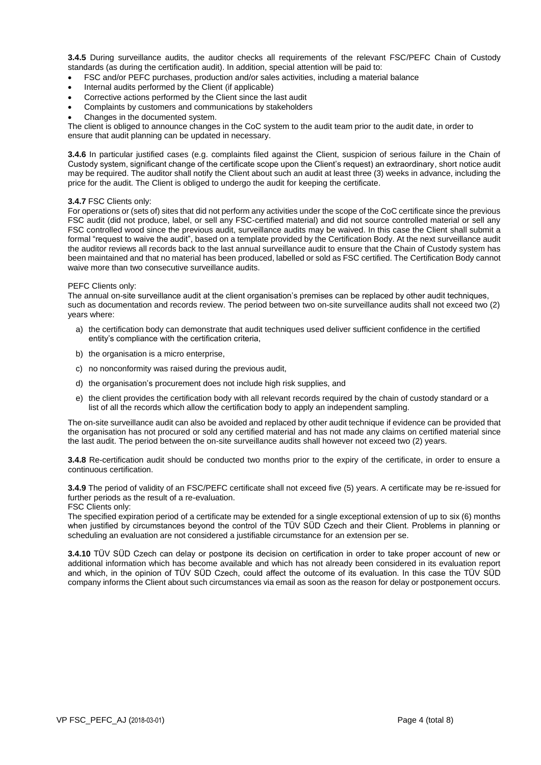**3.4.5** During surveillance audits, the auditor checks all requirements of the relevant FSC/PEFC Chain of Custody standards (as during the certification audit). In addition, special attention will be paid to:

- FSC and/or PEFC purchases, production and/or sales activities, including a material balance
- Internal audits performed by the Client (if applicable)
- Corrective actions performed by the Client since the last audit
- Complaints by customers and communications by stakeholders
- Changes in the documented system.

The client is obliged to announce changes in the CoC system to the audit team prior to the audit date, in order to ensure that audit planning can be updated in necessary.

**3.4.6** In particular justified cases (e.g. complaints filed against the Client, suspicion of serious failure in the Chain of Custody system, significant change of the certificate scope upon the Client's request) an extraordinary, short notice audit may be required. The auditor shall notify the Client about such an audit at least three (3) weeks in advance, including the price for the audit. The Client is obliged to undergo the audit for keeping the certificate.

#### **3.4.7** FSC Clients only:

For operations or (sets of) sites that did not perform any activities under the scope of the CoC certificate since the previous FSC audit (did not produce, label, or sell any FSC-certified material) and did not source controlled material or sell any FSC controlled wood since the previous audit, surveillance audits may be waived. In this case the Client shall submit a formal "request to waive the audit", based on a template provided by the Certification Body. At the next surveillance audit the auditor reviews all records back to the last annual surveillance audit to ensure that the Chain of Custody system has been maintained and that no material has been produced, labelled or sold as FSC certified. The Certification Body cannot waive more than two consecutive surveillance audits.

#### PEFC Clients only:

The annual on-site surveillance audit at the client organisation's premises can be replaced by other audit techniques, such as documentation and records review. The period between two on-site surveillance audits shall not exceed two (2) years where:

- a) the certification body can demonstrate that audit techniques used deliver sufficient confidence in the certified entity's compliance with the certification criteria,
- b) the organisation is a micro enterprise,
- c) no nonconformity was raised during the previous audit,
- d) the organisation's procurement does not include high risk supplies, and
- e) the client provides the certification body with all relevant records required by the chain of custody standard or a list of all the records which allow the certification body to apply an independent sampling.

The on-site surveillance audit can also be avoided and replaced by other audit technique if evidence can be provided that the organisation has not procured or sold any certified material and has not made any claims on certified material since the last audit. The period between the on-site surveillance audits shall however not exceed two (2) years.

**3.4.8** Re-certification audit should be conducted two months prior to the expiry of the certificate, in order to ensure a continuous certification.

**3.4.9** The period of validity of an FSC/PEFC certificate shall not exceed five (5) years. A certificate may be re-issued for further periods as the result of a re-evaluation.

FSC Clients only:

The specified expiration period of a certificate may be extended for a single exceptional extension of up to six (6) months when justified by circumstances beyond the control of the TÜV SÜD Czech and their Client. Problems in planning or scheduling an evaluation are not considered a justifiable circumstance for an extension per se.

**3.4.10** TÜV SÜD Czech can delay or postpone its decision on certification in order to take proper account of new or additional information which has become available and which has not already been considered in its evaluation report and which, in the opinion of TÜV SÜD Czech, could affect the outcome of its evaluation. In this case the TÜV SÜD company informs the Client about such circumstances via email as soon as the reason for delay or postponement occurs.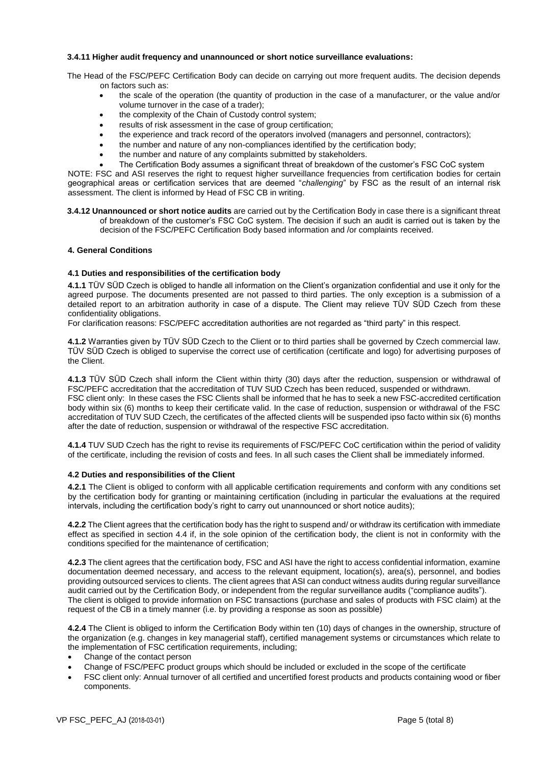#### **3.4.11 Higher audit frequency and unannounced or short notice surveillance evaluations:**

The Head of the FSC/PEFC Certification Body can decide on carrying out more frequent audits. The decision depends on factors such as:

- the scale of the operation (the quantity of production in the case of a manufacturer, or the value and/or volume turnover in the case of a trader);
- the complexity of the Chain of Custody control system;
- results of risk assessment in the case of group certification;
- the experience and track record of the operators involved (managers and personnel, contractors);
- the number and nature of any non-compliances identified by the certification body;
- the number and nature of any complaints submitted by stakeholders.
- The Certification Body assumes a significant threat of breakdown of the customer's FSC CoC system

NOTE: FSC and ASI reserves the right to request higher surveillance frequencies from certification bodies for certain geographical areas or certification services that are deemed "*challenging*" by FSC as the result of an internal risk assessment. The client is informed by Head of FSC CB in writing.

**3.4.12 Unannounced or short notice audits** are carried out by the Certification Body in case there is a significant threat of breakdown of the customer's FSC CoC system. The decision if such an audit is carried out is taken by the decision of the FSC/PEFC Certification Body based information and /or complaints received.

#### **4. General Conditions**

#### **4.1 Duties and responsibilities of the certification body**

**4.1.1** TÜV SÜD Czech is obliged to handle all information on the Client's organization confidential and use it only for the agreed purpose. The documents presented are not passed to third parties. The only exception is a submission of a detailed report to an arbitration authority in case of a dispute. The Client may relieve TÜV SÜD Czech from these confidentiality obligations.

For clarification reasons: FSC/PEFC accreditation authorities are not regarded as "third party" in this respect.

**4.1.2** Warranties given by TÜV SÜD Czech to the Client or to third parties shall be governed by Czech commercial law. TÜV SÜD Czech is obliged to supervise the correct use of certification (certificate and logo) for advertising purposes of the Client.

**4.1.3** TÜV SÜD Czech shall inform the Client within thirty (30) days after the reduction, suspension or withdrawal of FSC/PEFC accreditation that the accreditation of TUV SUD Czech has been reduced, suspended or withdrawn. FSC client only: In these cases the FSC Clients shall be informed that he has to seek a new FSC-accredited certification body within six (6) months to keep their certificate valid. In the case of reduction, suspension or withdrawal of the FSC accreditation of TUV SUD Czech, the certificates of the affected clients will be suspended ipso facto within six (6) months after the date of reduction, suspension or withdrawal of the respective FSC accreditation.

**4.1.4** TUV SUD Czech has the right to revise its requirements of FSC/PEFC CoC certification within the period of validity of the certificate, including the revision of costs and fees. In all such cases the Client shall be immediately informed.

#### **4.2 Duties and responsibilities of the Client**

**4.2.1** The Client is obliged to conform with all applicable certification requirements and conform with any conditions set by the certification body for granting or maintaining certification (including in particular the evaluations at the required intervals, including the certification body's right to carry out unannounced or short notice audits);

**4.2.2** The Client agrees that the certification body has the right to suspend and/ or withdraw its certification with immediate effect as specified in section 4.4 if, in the sole opinion of the certification body, the client is not in conformity with the conditions specified for the maintenance of certification;

**4.2.3** The client agrees that the certification body, FSC and ASI have the right to access confidential information, examine documentation deemed necessary, and access to the relevant equipment, location(s), area(s), personnel, and bodies providing outsourced services to clients. The client agrees that ASI can conduct witness audits during regular surveillance audit carried out by the Certification Body, or independent from the regular surveillance audits ("compliance audits"). The client is obliged to provide information on FSC transactions (purchase and sales of products with FSC claim) at the request of the CB in a timely manner (i.e. by providing a response as soon as possible)

**4.2.4** The Client is obliged to inform the Certification Body within ten (10) days of changes in the ownership, structure of the organization (e.g. changes in key managerial staff), certified management systems or circumstances which relate to the implementation of FSC certification requirements, including;

- Change of the contact person
- Change of FSC/PEFC product groups which should be included or excluded in the scope of the certificate
- FSC client only: Annual turnover of all certified and uncertified forest products and products containing wood or fiber components.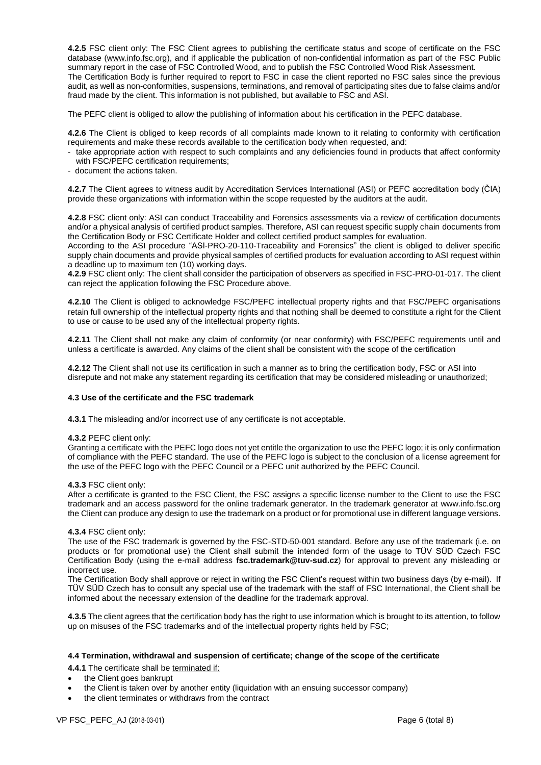**4.2.5** FSC client only: The FSC Client agrees to publishing the certificate status and scope of certificate on the FSC database [\(www.info.fsc.org\)](http://www.info.fsc.org/), and if applicable the publication of non-confidential information as part of the FSC Public summary report in the case of FSC Controlled Wood, and to publish the FSC Controlled Wood Risk Assessment. The Certification Body is further required to report to FSC in case the client reported no FSC sales since the previous audit, as well as non-conformities, suspensions, terminations, and removal of participating sites due to false claims and/or fraud made by the client. This information is not published, but available to FSC and ASI.

The PEFC client is obliged to allow the publishing of information about his certification in the PEFC database.

**4.2.6** The Client is obliged to keep records of all complaints made known to it relating to conformity with certification requirements and make these records available to the certification body when requested, and:

- take appropriate action with respect to such complaints and any deficiencies found in products that affect conformity with FSC/PEFC certification requirements;
- document the actions taken.

**4.2.7** The Client agrees to witness audit by Accreditation Services International (ASI) or PEFC accreditation body (ČIA) provide these organizations with information within the scope requested by the auditors at the audit.

**4.2.8** FSC client only: ASI can conduct Traceability and Forensics assessments via a review of certification documents and/or a physical analysis of certified product samples. Therefore, ASI can request specific supply chain documents from the Certification Body or FSC Certificate Holder and collect certified product samples for evaluation.

According to the ASI procedure "ASI-PRO-20-110-Traceability and Forensics" the client is obliged to deliver specific supply chain documents and provide physical samples of certified products for evaluation according to ASI request within a deadline up to maximum ten (10) working days.

**4.2.9** FSC client only: The client shall consider the participation of observers as specified in FSC-PRO-01-017. The client can reject the application following the FSC Procedure above.

**4.2.10** The Client is obliged to acknowledge FSC/PEFC intellectual property rights and that FSC/PEFC organisations retain full ownership of the intellectual property rights and that nothing shall be deemed to constitute a right for the Client to use or cause to be used any of the intellectual property rights.

**4.2.11** The Client shall not make any claim of conformity (or near conformity) with FSC/PEFC requirements until and unless a certificate is awarded. Any claims of the client shall be consistent with the scope of the certification

**4.2.12** The Client shall not use its certification in such a manner as to bring the certification body, FSC or ASI into disrepute and not make any statement regarding its certification that may be considered misleading or unauthorized;

#### **4.3 Use of the certificate and the FSC trademark**

**4.3.1** The misleading and/or incorrect use of any certificate is not acceptable.

#### **4.3.2** PEFC client only:

Granting a certificate with the PEFC logo does not yet entitle the organization to use the PEFC logo; it is only confirmation of compliance with the PEFC standard. The use of the PEFC logo is subject to the conclusion of a license agreement for the use of the PEFC logo with the PEFC Council or a PEFC unit authorized by the PEFC Council.

#### **4.3.3** FSC client only:

After a certificate is granted to the FSC Client, the FSC assigns a specific license number to the Client to use the FSC trademark and an access password for the online trademark generator. In the trademark generator at [www.info.fsc.org](http://www.info.fsc.org/) the Client can produce any design to use the trademark on a product or for promotional use in different language versions.

#### **4.3.4** FSC client only:

The use of the FSC trademark is governed by the FSC-STD-50-001 standard. Before any use of the trademark (i.e. on products or for promotional use) the Client shall submit the intended form of the usage to TÜV SÜD Czech FSC Certification Body (using the e-mail address **fsc.trademark@tuv-sud.cz**) for approval to prevent any misleading or incorrect use.

The Certification Body shall approve or reject in writing the FSC Client's request within two business days (by e-mail). If TÜV SÜD Czech has to consult any special use of the trademark with the staff of FSC International, the Client shall be informed about the necessary extension of the deadline for the trademark approval.

**4.3.5** The client agrees that the certification body has the right to use information which is brought to its attention, to follow up on misuses of the FSC trademarks and of the intellectual property rights held by FSC;

#### **4.4 Termination, withdrawal and suspension of certificate; change of the scope of the certificate**

**4.4.1** The certificate shall be terminated if:

- the Client goes bankrupt
- the Client is taken over by another entity (liquidation with an ensuing successor company)
- the client terminates or withdraws from the contract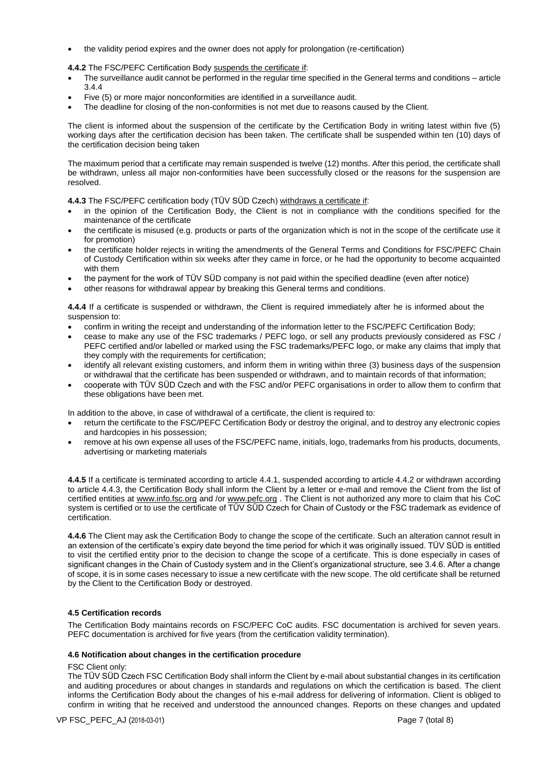the validity period expires and the owner does not apply for prolongation (re-certification)

**4.4.2** The FSC/PEFC Certification Body suspends the certificate if:

- The surveillance audit cannot be performed in the regular time specified in the General terms and conditions article 3.4.4
- Five (5) or more major nonconformities are identified in a surveillance audit.
- The deadline for closing of the non-conformities is not met due to reasons caused by the Client.

The client is informed about the suspension of the certificate by the Certification Body in writing latest within five (5) working days after the certification decision has been taken. The certificate shall be suspended within ten (10) days of the certification decision being taken

The maximum period that a certificate may remain suspended is twelve (12) months. After this period, the certificate shall be withdrawn, unless all major non-conformities have been successfully closed or the reasons for the suspension are resolved.

**4.4.3** The FSC/PEFC certification body (TÜV SÜD Czech) withdraws a certificate if:

- in the opinion of the Certification Body, the Client is not in compliance with the conditions specified for the maintenance of the certificate
- the certificate is misused (e.g. products or parts of the organization which is not in the scope of the certificate use it for promotion)
- the certificate holder rejects in writing the amendments of the General Terms and Conditions for FSC/PEFC Chain of Custody Certification within six weeks after they came in force, or he had the opportunity to become acquainted with them
- the payment for the work of TÜV SÜD company is not paid within the specified deadline (even after notice)
- other reasons for withdrawal appear by breaking this General terms and conditions.

**4.4.4** If a certificate is suspended or withdrawn, the Client is required immediately after he is informed about the suspension to:

- confirm in writing the receipt and understanding of the information letter to the FSC/PEFC Certification Body;
- cease to make any use of the FSC trademarks / PEFC logo, or sell any products previously considered as FSC / PEFC certified and/or labelled or marked using the FSC trademarks/PEFC logo, or make any claims that imply that they comply with the requirements for certification;
- identify all relevant existing customers, and inform them in writing within three (3) business days of the suspension or withdrawal that the certificate has been suspended or withdrawn, and to maintain records of that information;
- cooperate with TÜV SÜD Czech and with the FSC and/or PEFC organisations in order to allow them to confirm that these obligations have been met.

In addition to the above, in case of withdrawal of a certificate, the client is required to:

- return the certificate to the FSC/PEFC Certification Body or destroy the original, and to destroy any electronic copies and hardcopies in his possession;
- remove at his own expense all uses of the FSC/PEFC name, initials, logo, trademarks from his products, documents, advertising or marketing materials

**4.4.5** If a certificate is terminated according to article 4.4.1, suspended according to article 4.4.2 or withdrawn according to article 4.4.3, the Certification Body shall inform the Client by a letter or e-mail and remove the Client from the list of certified entities at [www.info.fsc.org](http://www.info.fsc.org/) and /or [www.pefc.org](http://www.pefc.org/) . The Client is not authorized any more to claim that his CoC system is certified or to use the certificate of TÜV SÜD Czech for Chain of Custody or the FSC trademark as evidence of certification.

**4.4.6** The Client may ask the Certification Body to change the scope of the certificate. Such an alteration cannot result in an extension of the certificate's expiry date beyond the time period for which it was originally issued. TÜV SÜD is entitled to visit the certified entity prior to the decision to change the scope of a certificate. This is done especially in cases of significant changes in the Chain of Custody system and in the Client's organizational structure, see 3.4.6. After a change of scope, it is in some cases necessary to issue a new certificate with the new scope. The old certificate shall be returned by the Client to the Certification Body or destroyed.

# **4.5 Certification records**

The Certification Body maintains records on FSC/PEFC CoC audits. FSC documentation is archived for seven years. PEFC documentation is archived for five years (from the certification validity termination).

#### **4.6 Notification about changes in the certification procedure**

#### FSC Client only:

The TÜV SÜD Czech FSC Certification Body shall inform the Client by e-mail about substantial changes in its certification and auditing procedures or about changes in standards and regulations on which the certification is based. The client informs the Certification Body about the changes of his e-mail address for delivering of information. Client is obliged to confirm in writing that he received and understood the announced changes. Reports on these changes and updated